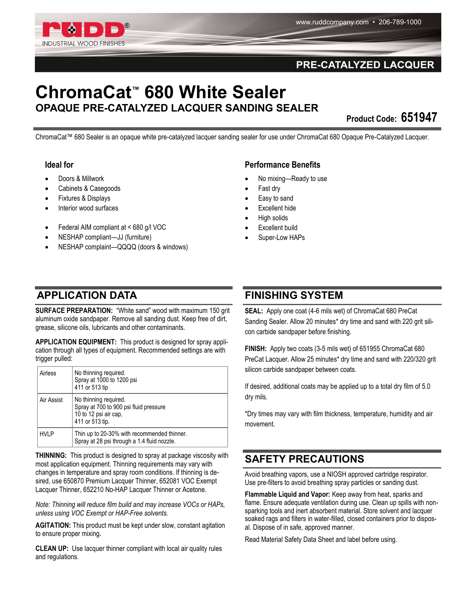

#### PRE-CATALYZED LACQUER

# **ChromaCat™ 680 White Sealer OPAQUE PRE-CATALYZED LACQUER SANDING SEALER**

**Product Code: 651947** 

ChromaCat™ 680 Sealer is an opaque white pre-catalyzed lacquer sanding sealer for use under ChromaCat 680 Opaque Pre-Catalyzed Lacquer.

#### **Ideal for**

- Doors & Millwork
- Cabinets & Casegoods
- Fixtures & Displays
- Interior wood surfaces
- Federal AIM compliant at < 680 g/l VOC
- NESHAP compliant—JJ (furniture)
- NESHAP complaint—QQQQ (doors & windows)

#### **Performance Benefits**

- No mixing—Ready to use
- Fast dry
- Easy to sand
- Excellent hide
- High solids
- Excellent build
- Super-Low HAPs

### **APPLICATION DATA FINISHING SYSTEM**

**SURFACE PREPARATION:** "White sand" wood with maximum 150 grit aluminum oxide sandpaper. Remove all sanding dust. Keep free of dirt, grease, silicone oils, lubricants and other contaminants.

**APPLICATION EQUIPMENT:** This product is designed for spray application through all types of equipment. Recommended settings are with trigger pulled:

| Airless     | No thinning required.<br>Spray at 1000 to 1200 psi<br>411 or 513 tip                                        |
|-------------|-------------------------------------------------------------------------------------------------------------|
| Air Assist  | No thinning required.<br>Spray at 700 to 900 psi fluid pressure<br>10 to 12 psi air cap,<br>411 or 513 tip. |
| <b>HVLP</b> | Thin up to 20-30% with recommended thinner.<br>Spray at 28 psi through a 1.4 fluid nozzle.                  |

**THINNING:** This product is designed to spray at package viscosity with most application equipment. Thinning requirements may vary with changes in temperature and spray room conditions. If thinning is desired, use 650870 Premium Lacquer Thinner, 652081 VOC Exempt Lacquer Thinner, 652210 No-HAP Lacquer Thinner or Acetone.

*Note: Thinning will reduce film build and may increase VOCs or HAPs, unless using VOC Exempt or HAP-Free solvents.*

**AGITATION:** This product must be kept under slow, constant agitation to ensure proper mixing.

**CLEAN UP:** Use lacquer thinner compliant with local air quality rules and regulations.

**SEAL:** Apply one coat (4-6 mils wet) of ChromaCat 680 PreCat Sanding Sealer. Allow 20 minutes\* dry time and sand with 220 grit silicon carbide sandpaper before finishing.

**FINISH:** Apply two coats (3-5 mils wet) of 651955 ChromaCat 680 PreCat Lacquer. Allow 25 minutes\* dry time and sand with 220/320 grit silicon carbide sandpaper between coats.

If desired, additional coats may be applied up to a total dry film of 5.0 dry mils.

\*Dry times may vary with film thickness, temperature, humidity and air movement.

## **SAFETY PRECAUTIONS**

Avoid breathing vapors, use a NIOSH approved cartridge respirator. Use pre-filters to avoid breathing spray particles or sanding dust.

**Flammable Liquid and Vapor:** Keep away from heat, sparks and flame. Ensure adequate ventilation during use. Clean up spills with nonsparking tools and inert absorbent material. Store solvent and lacquer soaked rags and filters in water-filled, closed containers prior to disposal. Dispose of in safe, approved manner.

Read Material Safety Data Sheet and label before using.